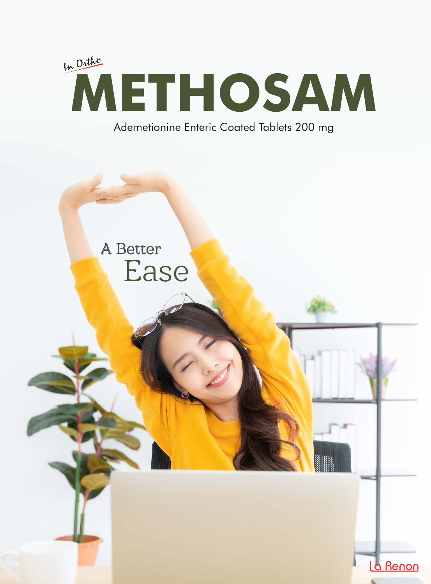

Ademetionine Enteric Coated Tablets 200 mg

La Renon

# A Better Ease